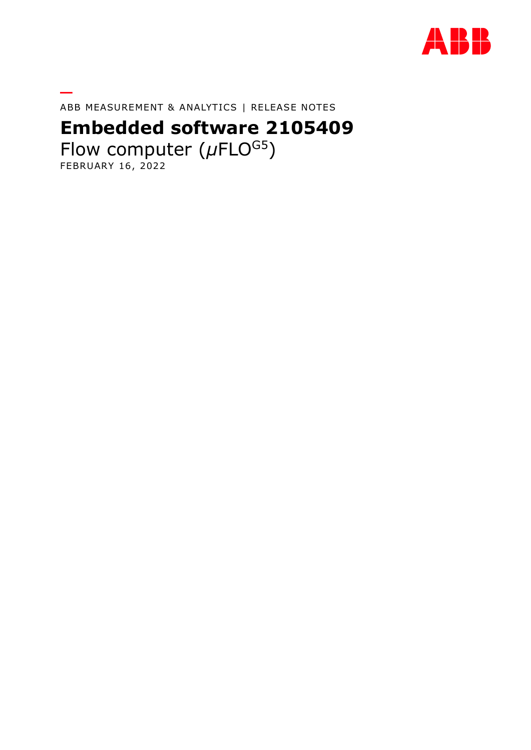

ABB MEASUREMENT & ANALYTICS | RELEASE NOTES

# **Embedded software 2105409**

Flow computer ( $\mu$ FLO<sup>G5</sup>) FEBRUARY 16, 2022

**—**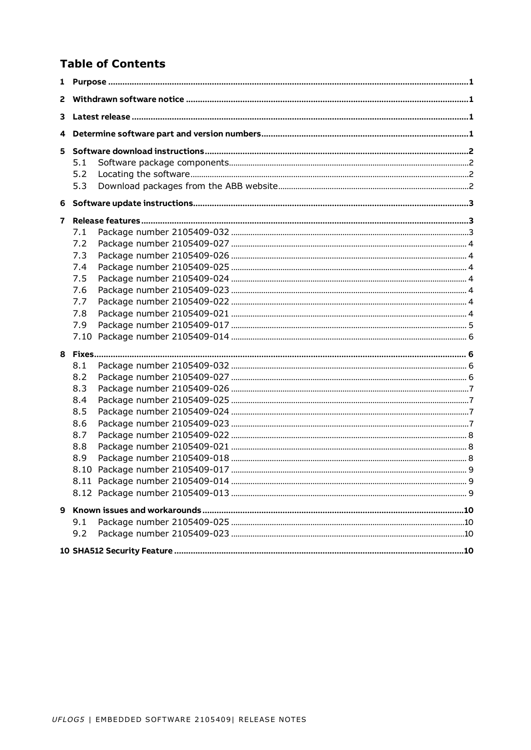### **Table of Contents**

| 1  |      |  |
|----|------|--|
| 2  |      |  |
| 3  |      |  |
| 4  |      |  |
| 5. |      |  |
|    | 5.1  |  |
|    | 5.2  |  |
|    | 5.3  |  |
|    |      |  |
| 7  |      |  |
|    | 7.1  |  |
|    | 7.2  |  |
|    | 7.3  |  |
|    | 7.4  |  |
|    | 7.5  |  |
|    | 7.6  |  |
|    | 7.7  |  |
|    | 7.8  |  |
|    | 7.9  |  |
|    | 7.10 |  |
|    |      |  |
|    | 8.1  |  |
|    | 8.2  |  |
|    | 8.3  |  |
|    | 8.4  |  |
|    | 8.5  |  |
|    | 8.6  |  |
|    | 8.7  |  |
|    | 8.8  |  |
|    | 8.9  |  |
|    |      |  |
|    |      |  |
|    |      |  |
| 9  |      |  |
|    | 9.1  |  |
|    | 9.2  |  |
|    |      |  |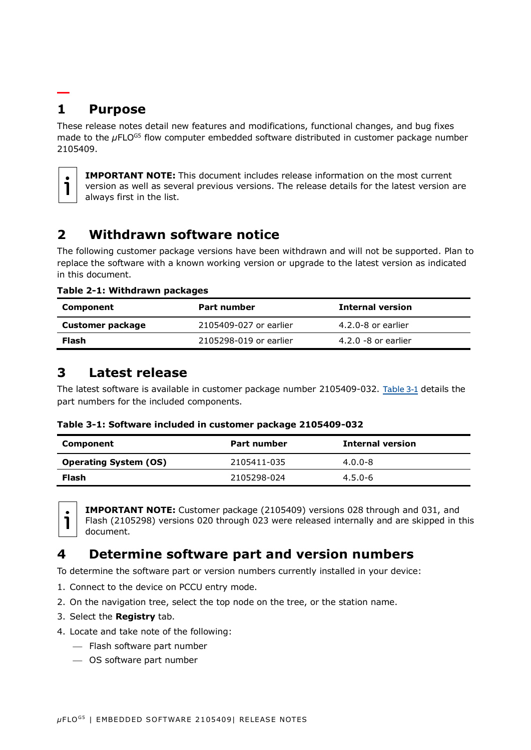## <span id="page-2-0"></span>**— 1 Purpose**

These release notes detail new features and modifications, functional changes, and bug fixes made to the *µFLO<sup>G5</sup>* flow computer embedded software distributed in customer package number 2105409.



**IMPORTANT NOTE:** This document includes release information on the most current version as well as several previous versions. The release details for the latest version are always first in the list.

# <span id="page-2-5"></span><span id="page-2-1"></span>**2 Withdrawn software notice**

The following customer package versions have been withdrawn and will not be supported. Plan to replace the software with a known working version or upgrade to the latest version as indicated in this document.

**Table 2-1: Withdrawn packages**

| Component        | Part number            | <b>Internal version</b> |
|------------------|------------------------|-------------------------|
| Customer package | 2105409-027 or earlier | 4.2.0-8 or earlier      |
| Flash            | 2105298-019 or earlier | $4.2.0 - 8$ or earlier  |

### <span id="page-2-2"></span>**3 Latest release**

The latest software is available in customer package number 2105409-032. [Table 3-1](#page-2-4) details the part numbers for the included components.

<span id="page-2-4"></span>

|  | Table 3-1: Software included in customer package 2105409-032 |  |  |
|--|--------------------------------------------------------------|--|--|
|  |                                                              |  |  |

| Component                    | Part number | <b>Internal version</b> |
|------------------------------|-------------|-------------------------|
| <b>Operating System (OS)</b> | 2105411-035 | $4.0.0 - 8$             |
| Flash                        | 2105298-024 | $4.5.0 - 6$             |



**IMPORTANT NOTE:** Customer package (2105409) versions 028 through and 031, and Flash (2105298) versions 020 through 023 were released internally and are skipped in this document.

# <span id="page-2-3"></span>**4 Determine software part and version numbers**

To determine the software part or version numbers currently installed in your device:

- 1. Connect to the device on PCCU entry mode.
- 2. On the navigation tree, select the top node on the tree, or the station name.
- 3. Select the **Registry** tab.
- 4. Locate and take note of the following:
	- ⎯ Flash software part number
	- ⎯ OS software part number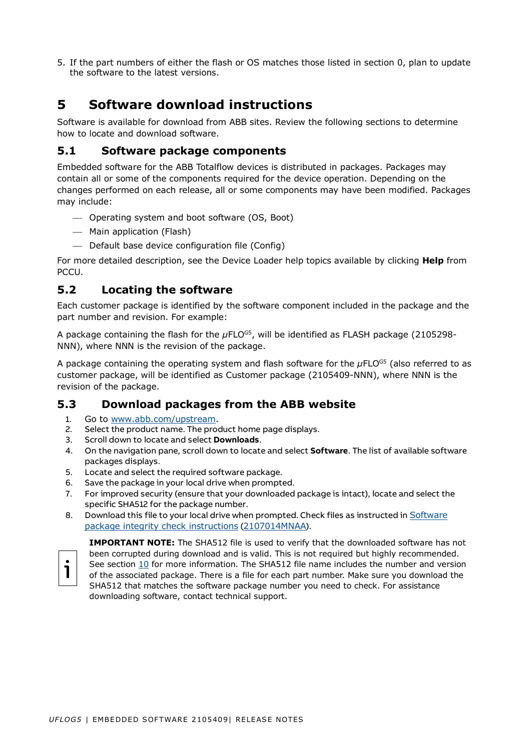5. If the part numbers of either the flash or OS matches those listed in section [0,](#page-2-5) plan to update the software to the latest versions.

# <span id="page-3-0"></span>**5 Software download instructions**

Software is available for download from ABB sites. Review the following sections to determine how to locate and download software.

### <span id="page-3-1"></span>**5.1 Software package components**

Embedded software for the ABB Totalflow devices is distributed in packages. Packages may contain all or some of the components required for the device operation. Depending on the changes performed on each release, all or some components may have been modified. Packages may include:

- ⎯ Operating system and boot software (OS, Boot)
- ⎯ Main application (Flash)
- $-$  Default base device configuration file (Config)

For more detailed description, see the Device Loader help topics available by clicking **Help** from PCCU.

### <span id="page-3-2"></span>**5.2 Locating the software**

Each customer package is identified by the software component included in the package and the part number and revision. For example:

A package containing the flash for the µFLO<sup>G5</sup>, will be identified as FLASH package (2105298-NNN), where NNN is the revision of the package.

A package containing the operating system and flash software for the µFLO<sup>G5</sup> (also referred to as customer package, will be identified as Customer package (2105409-NNN), where NNN is the revision of the package.

### <span id="page-3-3"></span>**5.3 Download packages from the ABB website**

- 1. Go to [www.abb.com/upstream.](http://www.abb.com/upstream)
- 2. Select the product name. The product home page displays.
- 3. Scroll down to locate and select **Downloads**.
- 4. On the navigation pane, scroll down to locate and select **Software**. The list of available software packages displays.
- 5. Locate and select the required software package.
- 6. Save the package in your local drive when prompted.
- 7. For improved security (ensure that your downloaded package is intact), locate and select the specific SHA512 for the package number.
- 8. Download this file to your local drive when prompted. Check files as instructed in [Software](http://search.abb.com/library/Download.aspx?DocumentID=ML%2F2107014&LanguageCode=en&DocumentPartId=2107014&Action=Launch)  [package integrity check instructions](http://search.abb.com/library/Download.aspx?DocumentID=ML%2F2107014&LanguageCode=en&DocumentPartId=2107014&Action=Launch) ([2107014MNAA](http://search.abb.com/library/Download.aspx?DocumentID=ML%2F2107014&LanguageCode=en&DocumentPartId=2107014&Action=Launch)).



**IMPORTANT NOTE:** The SHA512 file is used to verify that the downloaded software has not been corrupted during download and is valid. This is not required but highly recommended. See section [10](#page-11-3) for more information. The SHA512 file name includes the number and version of the associated package. There is a file for each part number. Make sure you download the SHA512 that matches the software package number you need to check. For assistance downloading software, contact technical support.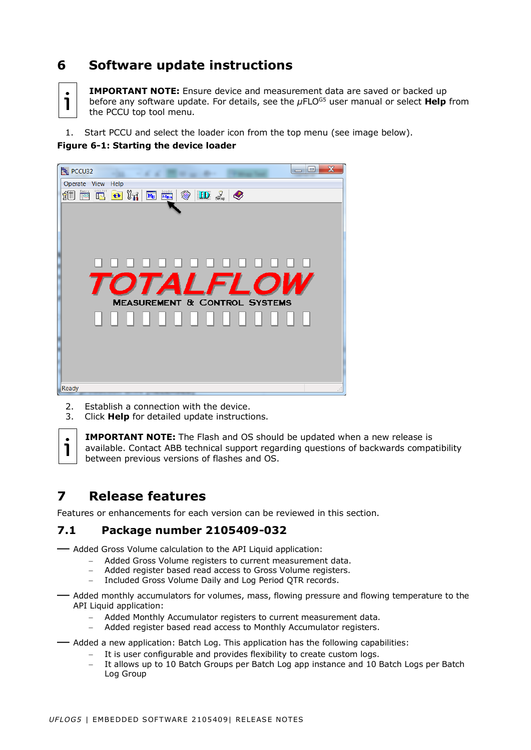# <span id="page-4-0"></span>**6 Software update instructions**



**IMPORTANT NOTE:** Ensure device and measurement data are saved or backed up before any software update. For details, see the  $\mu$ FLO<sup>G5</sup> user manual or select **Help** from the PCCU top tool menu.

1. Start PCCU and select the loader icon from the top menu (see image below).

### **Figure 6-1: Starting the device loader**



- 2. Establish a connection with the device.
- 3. Click **Help** for detailed update instructions.



**IMPORTANT NOTE:** The Flash and OS should be updated when a new release is available. Contact ABB technical support regarding questions of backwards compatibility between previous versions of flashes and OS.

# <span id="page-4-1"></span>**7 Release features**

Features or enhancements for each version can be reviewed in this section.

### <span id="page-4-2"></span>**7.1 Package number 2105409-032**

— Added Gross Volume calculation to the API Liquid application:

- − Added Gross Volume registers to current measurement data.
- − Added register based read access to Gross Volume registers.
- − Included Gross Volume Daily and Log Period QTR records.
- Added monthly accumulators for volumes, mass, flowing pressure and flowing temperature to the API Liquid application:
	- − Added Monthly Accumulator registers to current measurement data.
	- − Added register based read access to Monthly Accumulator registers.

— Added a new application: Batch Log. This application has the following capabilities:

- − It is user configurable and provides flexibility to create custom logs.
- − It allows up to 10 Batch Groups per Batch Log app instance and 10 Batch Logs per Batch Log Group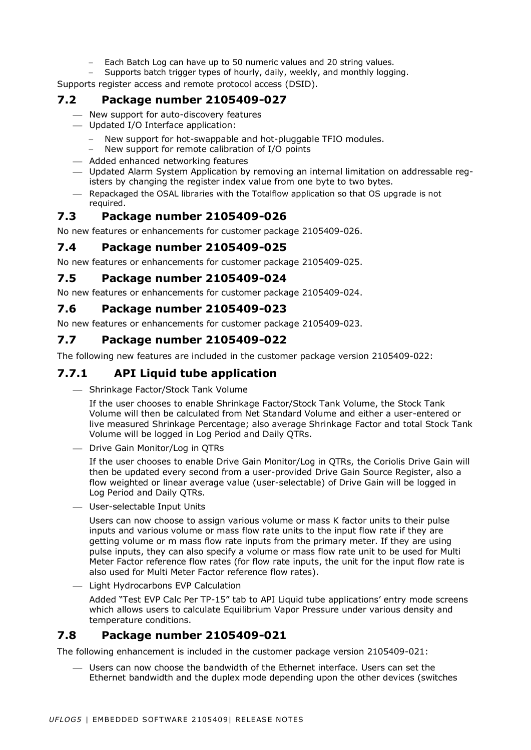- Each Batch Log can have up to 50 numeric values and 20 string values.
- Supports batch trigger types of hourly, daily, weekly, and monthly logging.

Supports register access and remote protocol access (DSID).

### <span id="page-5-0"></span>**7.2 Package number 2105409-027**

- ⎯ New support for auto-discovery features
- ⎯ Updated I/O Interface application:
	- New support for hot-swappable and hot-pluggable TFIO modules.
	- New support for remote calibration of I/O points
- Added enhanced networking features
- ⎯ Updated Alarm System Application by removing an internal limitation on addressable registers by changing the register index value from one byte to two bytes.
- ⎯ Repackaged the OSAL libraries with the Totalflow application so that OS upgrade is not required.

### <span id="page-5-1"></span>**7.3 Package number 2105409-026**

No new features or enhancements for customer package 2105409-026.

#### <span id="page-5-2"></span>**7.4 Package number 2105409-025**

No new features or enhancements for customer package 2105409-025.

#### <span id="page-5-3"></span>**7.5 Package number 2105409-024**

No new features or enhancements for customer package 2105409-024.

#### <span id="page-5-4"></span>**7.6 Package number 2105409-023**

No new features or enhancements for customer package 2105409-023.

#### <span id="page-5-5"></span>**7.7 Package number 2105409-022**

The following new features are included in the customer package version 2105409-022:

#### **7.7.1 API Liquid tube application**

- Shrinkage Factor/Stock Tank Volume

If the user chooses to enable Shrinkage Factor/Stock Tank Volume, the Stock Tank Volume will then be calculated from Net Standard Volume and either a user-entered or live measured Shrinkage Percentage; also average Shrinkage Factor and total Stock Tank Volume will be logged in Log Period and Daily QTRs.

⎯ Drive Gain Monitor/Log in QTRs

If the user chooses to enable Drive Gain Monitor/Log in QTRs, the Coriolis Drive Gain will then be updated every second from a user-provided Drive Gain Source Register, also a flow weighted or linear average value (user-selectable) of Drive Gain will be logged in Log Period and Daily QTRs.

⎯ User-selectable Input Units

Users can now choose to assign various volume or mass K factor units to their pulse inputs and various volume or mass flow rate units to the input flow rate if they are getting volume or m mass flow rate inputs from the primary meter. If they are using pulse inputs, they can also specify a volume or mass flow rate unit to be used for Multi Meter Factor reference flow rates (for flow rate inputs, the unit for the input flow rate is also used for Multi Meter Factor reference flow rates).

- Light Hydrocarbons EVP Calculation

Added "Test EVP Calc Per TP-15" tab to API Liquid tube applications' entry mode screens which allows users to calculate Equilibrium Vapor Pressure under various density and temperature conditions.

### <span id="page-5-6"></span>**7.8 Package number 2105409-021**

The following enhancement is included in the customer package version 2105409-021:

⎯ Users can now choose the bandwidth of the Ethernet interface. Users can set the Ethernet bandwidth and the duplex mode depending upon the other devices (switches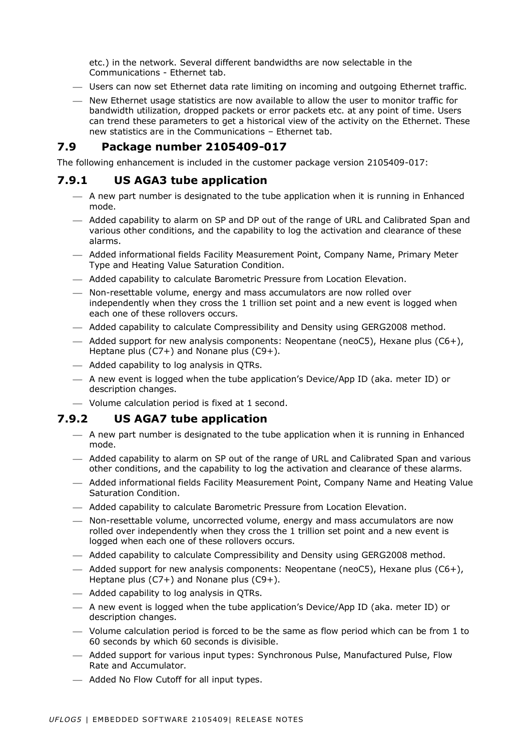etc.) in the network. Several different bandwidths are now selectable in the Communications - Ethernet tab.

- ⎯ Users can now set Ethernet data rate limiting on incoming and outgoing Ethernet traffic.
- ⎯ New Ethernet usage statistics are now available to allow the user to monitor traffic for bandwidth utilization, dropped packets or error packets etc. at any point of time. Users can trend these parameters to get a historical view of the activity on the Ethernet. These new statistics are in the Communications – Ethernet tab.

#### <span id="page-6-0"></span>**7.9 Package number 2105409-017**

The following enhancement is included in the customer package version 2105409-017:

### **7.9.1 US AGA3 tube application**

- $-$  A new part number is designated to the tube application when it is running in Enhanced mode.
- ⎯ Added capability to alarm on SP and DP out of the range of URL and Calibrated Span and various other conditions, and the capability to log the activation and clearance of these alarms.
- ⎯ Added informational fields Facility Measurement Point, Company Name, Primary Meter Type and Heating Value Saturation Condition.
- ⎯ Added capability to calculate Barometric Pressure from Location Elevation.
- ⎯ Non-resettable volume, energy and mass accumulators are now rolled over independently when they cross the 1 trillion set point and a new event is logged when each one of these rollovers occurs.
- ⎯ Added capability to calculate Compressibility and Density using GERG2008 method.
- $-$  Added support for new analysis components: Neopentane (neoC5), Hexane plus (C6+), Heptane plus (C7+) and Nonane plus (C9+).
- ⎯ Added capability to log analysis in QTRs.
- ⎯ A new event is logged when the tube application's Device/App ID (aka. meter ID) or description changes.
- ⎯ Volume calculation period is fixed at 1 second.

#### **7.9.2 US AGA7 tube application**

- $-$  A new part number is designated to the tube application when it is running in Enhanced mode.
- ⎯ Added capability to alarm on SP out of the range of URL and Calibrated Span and various other conditions, and the capability to log the activation and clearance of these alarms.
- ⎯ Added informational fields Facility Measurement Point, Company Name and Heating Value Saturation Condition.
- ⎯ Added capability to calculate Barometric Pressure from Location Elevation.
- Non-resettable volume, uncorrected volume, energy and mass accumulators are now rolled over independently when they cross the 1 trillion set point and a new event is logged when each one of these rollovers occurs.
- ⎯ Added capability to calculate Compressibility and Density using GERG2008 method.
- $-$  Added support for new analysis components: Neopentane (neoC5), Hexane plus (C6+), Heptane plus (C7+) and Nonane plus (C9+).
- ⎯ Added capability to log analysis in QTRs.
- $-$  A new event is logged when the tube application's Device/App ID (aka. meter ID) or description changes.
- $-$  Volume calculation period is forced to be the same as flow period which can be from 1 to 60 seconds by which 60 seconds is divisible.
- ⎯ Added support for various input types: Synchronous Pulse, Manufactured Pulse, Flow Rate and Accumulator.
- ⎯ Added No Flow Cutoff for all input types.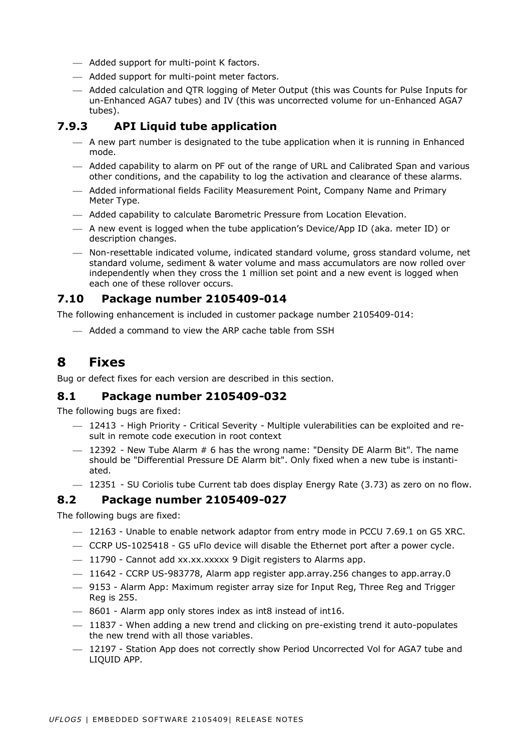- ⎯ Added support for multi-point K factors.
- ⎯ Added support for multi-point meter factors.
- ⎯ Added calculation and QTR logging of Meter Output (this was Counts for Pulse Inputs for un-Enhanced AGA7 tubes) and IV (this was uncorrected volume for un-Enhanced AGA7 tubes).

### **7.9.3 API Liquid tube application**

- $-$  A new part number is designated to the tube application when it is running in Enhanced mode.
- ⎯ Added capability to alarm on PF out of the range of URL and Calibrated Span and various other conditions, and the capability to log the activation and clearance of these alarms.
- ⎯ Added informational fields Facility Measurement Point, Company Name and Primary Meter Type.
- Added capability to calculate Barometric Pressure from Location Elevation.
- A new event is logged when the tube application's Device/App ID (aka. meter ID) or description changes.
- ⎯ Non-resettable indicated volume, indicated standard volume, gross standard volume, net standard volume, sediment & water volume and mass accumulators are now rolled over independently when they cross the 1 million set point and a new event is logged when each one of these rollover occurs.

### <span id="page-7-0"></span>**7.10 Package number 2105409-014**

The following enhancement is included in customer package number 2105409-014:

⎯ Added a command to view the ARP cache table from SSH

### <span id="page-7-1"></span>**8 Fixes**

Bug or defect fixes for each version are described in this section.

### <span id="page-7-2"></span>**8.1 Package number 2105409-032**

The following bugs are fixed:

- $-$  12413 High Priority Critical Severity Multiple vulerabilities can be exploited and result in remote code execution in root context
- $-$  12392 New Tube Alarm  $# 6$  has the wrong name: "Density DE Alarm Bit". The name should be "Differential Pressure DE Alarm bit". Only fixed when a new tube is instantiated.
- $-$  12351 SU Coriolis tube Current tab does display Energy Rate (3.73) as zero on no flow.

### <span id="page-7-3"></span>**8.2 Package number 2105409-027**

- $-$  12163 Unable to enable network adaptor from entry mode in PCCU 7.69.1 on G5 XRC.
- ⎯ CCRP US-1025418 G5 uFlo device will disable the Ethernet port after a power cycle.
- $-$  11790 Cannot add xx.xx.xxxxx 9 Digit registers to Alarms app.
- $-$  11642 CCRP US-983778, Alarm app register app.array.256 changes to app.array.0
- ⎯ 9153 Alarm App: Maximum register array size for Input Reg, Three Reg and Trigger Reg is 255.
- ⎯ 8601 Alarm app only stores index as int8 instead of int16.
- $-$  11837 When adding a new trend and clicking on pre-existing trend it auto-populates the new trend with all those variables.
- ⎯ 12197 Station App does not correctly show Period Uncorrected Vol for AGA7 tube and LIQUID APP.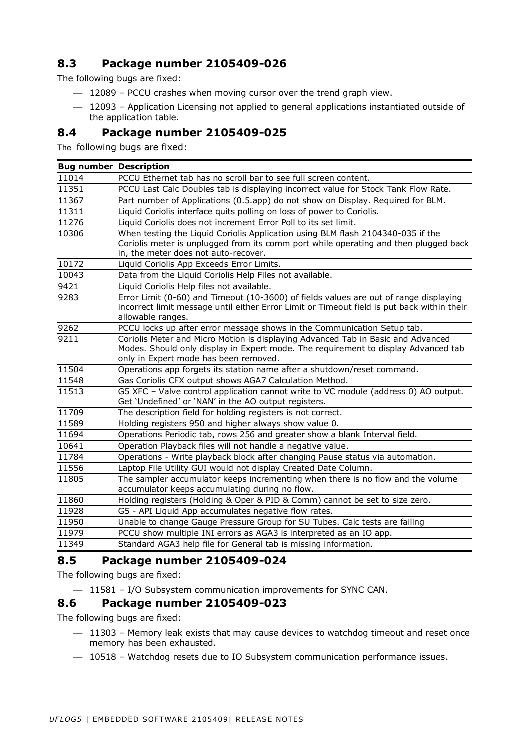### <span id="page-8-0"></span>**8.3 Package number 2105409-026**

The following bugs are fixed:

- $-$  12089 PCCU crashes when moving cursor over the trend graph view.
- $-$  12093 Application Licensing not applied to general applications instantiated outside of the application table.

#### <span id="page-8-1"></span>**8.4 Package number 2105409-025**

The following bugs are fixed:

| PCCU Ethernet tab has no scroll bar to see full screen content.<br>11014<br>11351<br>PCCU Last Calc Doubles tab is displaying incorrect value for Stock Tank Flow Rate.<br>11367<br>Part number of Applications (0.5.app) do not show on Display. Required for BLM.<br>Liquid Coriolis interface quits polling on loss of power to Coriolis.<br>11311<br>11276<br>Liquid Coriolis does not increment Error Poll to its set limit.<br>When testing the Liquid Coriolis Application using BLM flash 2104340-035 if the<br>10306<br>Coriolis meter is unplugged from its comm port while operating and then plugged back<br>in, the meter does not auto-recover.<br>10172<br>Liquid Coriolis App Exceeds Error Limits.<br>10043<br>Data from the Liquid Coriolis Help Files not available.<br>Liquid Coriolis Help files not available.<br>9421<br>Error Limit (0-60) and Timeout (10-3600) of fields values are out of range displaying<br>9283<br>incorrect limit message until either Error Limit or Timeout field is put back within their<br>allowable ranges.<br>9262<br>PCCU locks up after error message shows in the Communication Setup tab.<br>Coriolis Meter and Micro Motion is displaying Advanced Tab in Basic and Advanced<br>9211<br>Modes. Should only display in Expert mode. The requirement to display Advanced tab<br>only in Expert mode has been removed.<br>11504<br>Operations app forgets its station name after a shutdown/reset command.<br>11548<br>Gas Coriolis CFX output shows AGA7 Calculation Method.<br>11513<br>G5 XFC - Valve control application cannot write to VC module (address 0) AO output.<br>Get 'Undefined' or 'NAN' in the AO output registers.<br>11709<br>The description field for holding registers is not correct.<br>11589<br>Holding registers 950 and higher always show value 0.<br>11694<br>Operations Periodic tab, rows 256 and greater show a blank Interval field.<br>10641<br>Operation Playback files will not handle a negative value.<br>11784<br>Operations - Write playback block after changing Pause status via automation. |
|-------------------------------------------------------------------------------------------------------------------------------------------------------------------------------------------------------------------------------------------------------------------------------------------------------------------------------------------------------------------------------------------------------------------------------------------------------------------------------------------------------------------------------------------------------------------------------------------------------------------------------------------------------------------------------------------------------------------------------------------------------------------------------------------------------------------------------------------------------------------------------------------------------------------------------------------------------------------------------------------------------------------------------------------------------------------------------------------------------------------------------------------------------------------------------------------------------------------------------------------------------------------------------------------------------------------------------------------------------------------------------------------------------------------------------------------------------------------------------------------------------------------------------------------------------------------------------------------------------------------------------------------------------------------------------------------------------------------------------------------------------------------------------------------------------------------------------------------------------------------------------------------------------------------------------------------------------------------------------------------------------------------------------------------------------------------------------------------------|
|                                                                                                                                                                                                                                                                                                                                                                                                                                                                                                                                                                                                                                                                                                                                                                                                                                                                                                                                                                                                                                                                                                                                                                                                                                                                                                                                                                                                                                                                                                                                                                                                                                                                                                                                                                                                                                                                                                                                                                                                                                                                                                 |
|                                                                                                                                                                                                                                                                                                                                                                                                                                                                                                                                                                                                                                                                                                                                                                                                                                                                                                                                                                                                                                                                                                                                                                                                                                                                                                                                                                                                                                                                                                                                                                                                                                                                                                                                                                                                                                                                                                                                                                                                                                                                                                 |
|                                                                                                                                                                                                                                                                                                                                                                                                                                                                                                                                                                                                                                                                                                                                                                                                                                                                                                                                                                                                                                                                                                                                                                                                                                                                                                                                                                                                                                                                                                                                                                                                                                                                                                                                                                                                                                                                                                                                                                                                                                                                                                 |
|                                                                                                                                                                                                                                                                                                                                                                                                                                                                                                                                                                                                                                                                                                                                                                                                                                                                                                                                                                                                                                                                                                                                                                                                                                                                                                                                                                                                                                                                                                                                                                                                                                                                                                                                                                                                                                                                                                                                                                                                                                                                                                 |
|                                                                                                                                                                                                                                                                                                                                                                                                                                                                                                                                                                                                                                                                                                                                                                                                                                                                                                                                                                                                                                                                                                                                                                                                                                                                                                                                                                                                                                                                                                                                                                                                                                                                                                                                                                                                                                                                                                                                                                                                                                                                                                 |
|                                                                                                                                                                                                                                                                                                                                                                                                                                                                                                                                                                                                                                                                                                                                                                                                                                                                                                                                                                                                                                                                                                                                                                                                                                                                                                                                                                                                                                                                                                                                                                                                                                                                                                                                                                                                                                                                                                                                                                                                                                                                                                 |
|                                                                                                                                                                                                                                                                                                                                                                                                                                                                                                                                                                                                                                                                                                                                                                                                                                                                                                                                                                                                                                                                                                                                                                                                                                                                                                                                                                                                                                                                                                                                                                                                                                                                                                                                                                                                                                                                                                                                                                                                                                                                                                 |
|                                                                                                                                                                                                                                                                                                                                                                                                                                                                                                                                                                                                                                                                                                                                                                                                                                                                                                                                                                                                                                                                                                                                                                                                                                                                                                                                                                                                                                                                                                                                                                                                                                                                                                                                                                                                                                                                                                                                                                                                                                                                                                 |
|                                                                                                                                                                                                                                                                                                                                                                                                                                                                                                                                                                                                                                                                                                                                                                                                                                                                                                                                                                                                                                                                                                                                                                                                                                                                                                                                                                                                                                                                                                                                                                                                                                                                                                                                                                                                                                                                                                                                                                                                                                                                                                 |
|                                                                                                                                                                                                                                                                                                                                                                                                                                                                                                                                                                                                                                                                                                                                                                                                                                                                                                                                                                                                                                                                                                                                                                                                                                                                                                                                                                                                                                                                                                                                                                                                                                                                                                                                                                                                                                                                                                                                                                                                                                                                                                 |
|                                                                                                                                                                                                                                                                                                                                                                                                                                                                                                                                                                                                                                                                                                                                                                                                                                                                                                                                                                                                                                                                                                                                                                                                                                                                                                                                                                                                                                                                                                                                                                                                                                                                                                                                                                                                                                                                                                                                                                                                                                                                                                 |
|                                                                                                                                                                                                                                                                                                                                                                                                                                                                                                                                                                                                                                                                                                                                                                                                                                                                                                                                                                                                                                                                                                                                                                                                                                                                                                                                                                                                                                                                                                                                                                                                                                                                                                                                                                                                                                                                                                                                                                                                                                                                                                 |
|                                                                                                                                                                                                                                                                                                                                                                                                                                                                                                                                                                                                                                                                                                                                                                                                                                                                                                                                                                                                                                                                                                                                                                                                                                                                                                                                                                                                                                                                                                                                                                                                                                                                                                                                                                                                                                                                                                                                                                                                                                                                                                 |
|                                                                                                                                                                                                                                                                                                                                                                                                                                                                                                                                                                                                                                                                                                                                                                                                                                                                                                                                                                                                                                                                                                                                                                                                                                                                                                                                                                                                                                                                                                                                                                                                                                                                                                                                                                                                                                                                                                                                                                                                                                                                                                 |
|                                                                                                                                                                                                                                                                                                                                                                                                                                                                                                                                                                                                                                                                                                                                                                                                                                                                                                                                                                                                                                                                                                                                                                                                                                                                                                                                                                                                                                                                                                                                                                                                                                                                                                                                                                                                                                                                                                                                                                                                                                                                                                 |
|                                                                                                                                                                                                                                                                                                                                                                                                                                                                                                                                                                                                                                                                                                                                                                                                                                                                                                                                                                                                                                                                                                                                                                                                                                                                                                                                                                                                                                                                                                                                                                                                                                                                                                                                                                                                                                                                                                                                                                                                                                                                                                 |
|                                                                                                                                                                                                                                                                                                                                                                                                                                                                                                                                                                                                                                                                                                                                                                                                                                                                                                                                                                                                                                                                                                                                                                                                                                                                                                                                                                                                                                                                                                                                                                                                                                                                                                                                                                                                                                                                                                                                                                                                                                                                                                 |
|                                                                                                                                                                                                                                                                                                                                                                                                                                                                                                                                                                                                                                                                                                                                                                                                                                                                                                                                                                                                                                                                                                                                                                                                                                                                                                                                                                                                                                                                                                                                                                                                                                                                                                                                                                                                                                                                                                                                                                                                                                                                                                 |
|                                                                                                                                                                                                                                                                                                                                                                                                                                                                                                                                                                                                                                                                                                                                                                                                                                                                                                                                                                                                                                                                                                                                                                                                                                                                                                                                                                                                                                                                                                                                                                                                                                                                                                                                                                                                                                                                                                                                                                                                                                                                                                 |
|                                                                                                                                                                                                                                                                                                                                                                                                                                                                                                                                                                                                                                                                                                                                                                                                                                                                                                                                                                                                                                                                                                                                                                                                                                                                                                                                                                                                                                                                                                                                                                                                                                                                                                                                                                                                                                                                                                                                                                                                                                                                                                 |
| Laptop File Utility GUI would not display Created Date Column.<br>11556                                                                                                                                                                                                                                                                                                                                                                                                                                                                                                                                                                                                                                                                                                                                                                                                                                                                                                                                                                                                                                                                                                                                                                                                                                                                                                                                                                                                                                                                                                                                                                                                                                                                                                                                                                                                                                                                                                                                                                                                                         |
| 11805<br>The sampler accumulator keeps incrementing when there is no flow and the volume<br>accumulator keeps accumulating during no flow.                                                                                                                                                                                                                                                                                                                                                                                                                                                                                                                                                                                                                                                                                                                                                                                                                                                                                                                                                                                                                                                                                                                                                                                                                                                                                                                                                                                                                                                                                                                                                                                                                                                                                                                                                                                                                                                                                                                                                      |
| 11860<br>Holding registers (Holding & Oper & PID & Comm) cannot be set to size zero.                                                                                                                                                                                                                                                                                                                                                                                                                                                                                                                                                                                                                                                                                                                                                                                                                                                                                                                                                                                                                                                                                                                                                                                                                                                                                                                                                                                                                                                                                                                                                                                                                                                                                                                                                                                                                                                                                                                                                                                                            |
| 11928<br>G5 - API Liquid App accumulates negative flow rates.                                                                                                                                                                                                                                                                                                                                                                                                                                                                                                                                                                                                                                                                                                                                                                                                                                                                                                                                                                                                                                                                                                                                                                                                                                                                                                                                                                                                                                                                                                                                                                                                                                                                                                                                                                                                                                                                                                                                                                                                                                   |
| 11950<br>Unable to change Gauge Pressure Group for SU Tubes. Calc tests are failing                                                                                                                                                                                                                                                                                                                                                                                                                                                                                                                                                                                                                                                                                                                                                                                                                                                                                                                                                                                                                                                                                                                                                                                                                                                                                                                                                                                                                                                                                                                                                                                                                                                                                                                                                                                                                                                                                                                                                                                                             |
| 11979<br>PCCU show multiple INI errors as AGA3 is interpreted as an IO app.                                                                                                                                                                                                                                                                                                                                                                                                                                                                                                                                                                                                                                                                                                                                                                                                                                                                                                                                                                                                                                                                                                                                                                                                                                                                                                                                                                                                                                                                                                                                                                                                                                                                                                                                                                                                                                                                                                                                                                                                                     |
| 11349<br>Standard AGA3 help file for General tab is missing information.                                                                                                                                                                                                                                                                                                                                                                                                                                                                                                                                                                                                                                                                                                                                                                                                                                                                                                                                                                                                                                                                                                                                                                                                                                                                                                                                                                                                                                                                                                                                                                                                                                                                                                                                                                                                                                                                                                                                                                                                                        |

### <span id="page-8-2"></span>**8.5 Package number 2105409-024**

The following bugs are fixed:

- 11581 - I/O Subsystem communication improvements for SYNC CAN.

### <span id="page-8-3"></span>**8.6 Package number 2105409-023**

- $-$  11303 Memory leak exists that may cause devices to watchdog timeout and reset once memory has been exhausted.
- 10518 Watchdog resets due to IO Subsystem communication performance issues.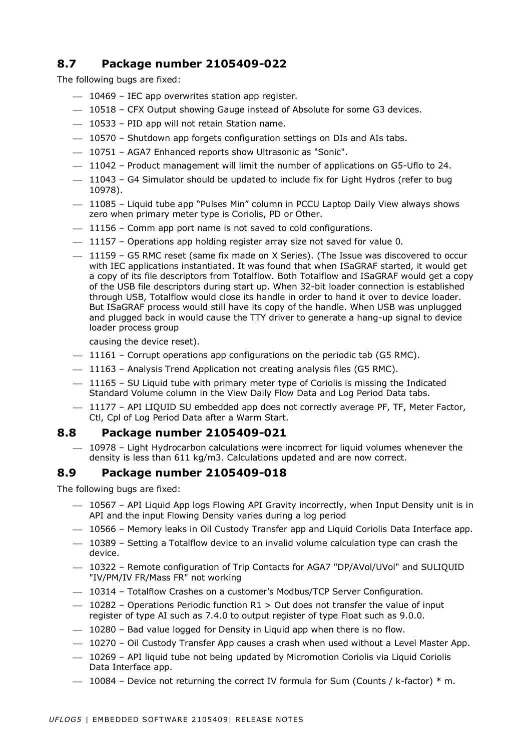### <span id="page-9-0"></span>**8.7 Package number 2105409-022**

The following bugs are fixed:

- $-$  10469 IEC app overwrites station app register.
- ⎯ 10518 CFX Output showing Gauge instead of Absolute for some G3 devices.
- $-$  10533 PID app will not retain Station name.
- $-$  10570 Shutdown app forgets configuration settings on DIs and AIs tabs.
- ⎯ 10751 AGA7 Enhanced reports show Ultrasonic as "Sonic".
- ⎯ 11042 Product management will limit the number of applications on G5-Uflo to 24.
- $-$  11043 G4 Simulator should be updated to include fix for Light Hydros (refer to bug 10978).
- $-$  11085 Liquid tube app "Pulses Min" column in PCCU Laptop Daily View always shows zero when primary meter type is Coriolis, PD or Other.
- 11156 Comm app port name is not saved to cold configurations.
- $-$  11157 Operations app holding register array size not saved for value 0.
- ⎯ 11159 G5 RMC reset (same fix made on X Series). (The Issue was discovered to occur with IEC applications instantiated. It was found that when ISaGRAF started, it would get a copy of its file descriptors from Totalflow. Both Totalflow and ISaGRAF would get a copy of the USB file descriptors during start up. When 32-bit loader connection is established through USB, Totalflow would close its handle in order to hand it over to device loader. But ISaGRAF process would still have its copy of the handle. When USB was unplugged and plugged back in would cause the TTY driver to generate a hang-up signal to device loader process group

causing the device reset).

- $-$  11161 Corrupt operations app configurations on the periodic tab (G5 RMC).
- ⎯ 11163 Analysis Trend Application not creating analysis files (G5 RMC).
- $-$  11165 SU Liquid tube with primary meter type of Coriolis is missing the Indicated Standard Volume column in the View Daily Flow Data and Log Period Data tabs.
- $-$  11177 API LIQUID SU embedded app does not correctly average PF, TF, Meter Factor, Ctl, Cpl of Log Period Data after a Warm Start.

### <span id="page-9-1"></span>**8.8 Package number 2105409-021**

 $-$  10978 – Light Hydrocarbon calculations were incorrect for liquid volumes whenever the density is less than 611 kg/m3. Calculations updated and are now correct.

### <span id="page-9-2"></span>**8.9 Package number 2105409-018**

- $-$  10567 API Liquid App logs Flowing API Gravity incorrectly, when Input Density unit is in API and the input Flowing Density varies during a log period
- ⎯ 10566 Memory leaks in Oil Custody Transfer app and Liquid Coriolis Data Interface app.
- $-$  10389 Setting a Totalflow device to an invalid volume calculation type can crash the device.
- $-$  10322 Remote configuration of Trip Contacts for AGA7 "DP/AVol/UVol" and SULIQUID "IV/PM/IV FR/Mass FR" not working
- $-$  10314 Totalflow Crashes on a customer's Modbus/TCP Server Configuration.
- $-$  10282 Operations Periodic function R1 > Out does not transfer the value of input register of type AI such as 7.4.0 to output register of type Float such as 9.0.0.
- $-$  10280 Bad value logged for Density in Liquid app when there is no flow.
- $-$  10270 Oil Custody Transfer App causes a crash when used without a Level Master App.
- $-$  10269 API liquid tube not being updated by Micromotion Coriolis via Liquid Coriolis Data Interface app.
- $-$  10084 Device not returning the correct IV formula for Sum (Counts / k-factor)  $*$  m.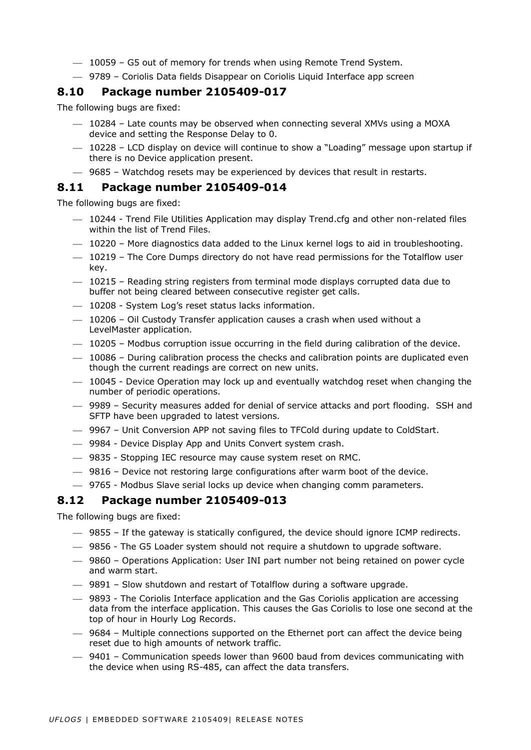- $-$  10059 G5 out of memory for trends when using Remote Trend System.
- ⎯ 9789 Coriolis Data fields Disappear on Coriolis Liquid Interface app screen

### <span id="page-10-0"></span>**8.10 Package number 2105409-017**

The following bugs are fixed:

- $-$  10284 Late counts may be observed when connecting several XMVs using a MOXA device and setting the Response Delay to 0.
- $-$  10228 LCD display on device will continue to show a "Loading" message upon startup if there is no Device application present.
- ⎯ 9685 Watchdog resets may be experienced by devices that result in restarts.

### <span id="page-10-1"></span>**8.11 Package number 2105409-014**

The following bugs are fixed:

- $-$  10244 Trend File Utilities Application may display Trend.cfg and other non-related files within the list of Trend Files.
- $-$  10220 More diagnostics data added to the Linux kernel logs to aid in troubleshooting.
- $-$  10219 The Core Dumps directory do not have read permissions for the Totalflow user key.
- $-$  10215 Reading string registers from terminal mode displays corrupted data due to buffer not being cleared between consecutive register get calls.
- $-$  10208 System Log's reset status lacks information.
- $-$  10206 Oil Custody Transfer application causes a crash when used without a LevelMaster application.
- ⎯ 10205 Modbus corruption issue occurring in the field during calibration of the device.
- $-$  10086 During calibration process the checks and calibration points are duplicated even though the current readings are correct on new units.
- $-$  10045 Device Operation may lock up and eventually watchdog reset when changing the number of periodic operations.
- ⎯ 9989 Security measures added for denial of service attacks and port flooding. SSH and SFTP have been upgraded to latest versions.
- ⎯ 9967 Unit Conversion APP not saving files to TFCold during update to ColdStart.
- ⎯ 9984 Device Display App and Units Convert system crash.
- $-$  9835 Stopping IEC resource may cause system reset on RMC.
- $-$  9816 Device not restoring large configurations after warm boot of the device.
- ⎯ 9765 Modbus Slave serial locks up device when changing comm parameters.

### <span id="page-10-2"></span>**8.12 Package number 2105409-013**

- $-$  9855 If the gateway is statically configured, the device should ignore ICMP redirects.
- ⎯ 9856 The G5 Loader system should not require a shutdown to upgrade software.
- ⎯ 9860 Operations Application: User INI part number not being retained on power cycle and warm start.
- 9891 Slow shutdown and restart of Totalflow during a software upgrade.
- ⎯ 9893 The Coriolis Interface application and the Gas Coriolis application are accessing data from the interface application. This causes the Gas Coriolis to lose one second at the top of hour in Hourly Log Records.
- ⎯ 9684 Multiple connections supported on the Ethernet port can affect the device being reset due to high amounts of network traffic.
- ⎯ 9401 Communication speeds lower than 9600 baud from devices communicating with the device when using RS-485, can affect the data transfers.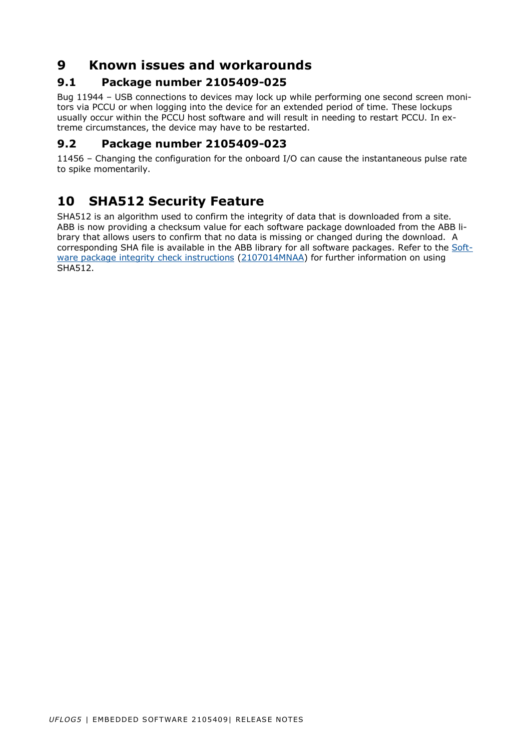# <span id="page-11-0"></span>**9 Known issues and workarounds**

### <span id="page-11-1"></span>**9.1 Package number 2105409-025**

Bug 11944 – USB connections to devices may lock up while performing one second screen monitors via PCCU or when logging into the device for an extended period of time. These lockups usually occur within the PCCU host software and will result in needing to restart PCCU. In extreme circumstances, the device may have to be restarted.

### <span id="page-11-2"></span>**9.2 Package number 2105409-023**

11456 – Changing the configuration for the onboard I/O can cause the instantaneous pulse rate to spike momentarily.

# <span id="page-11-3"></span>**10 SHA512 Security Feature**

SHA512 is an algorithm used to confirm the integrity of data that is downloaded from a site. ABB is now providing a checksum value for each software package downloaded from the ABB library that allows users to confirm that no data is missing or changed during the download. A corresponding SHA file is available in the ABB library for all software packages. Refer to the [Soft](http://search.abb.com/library/Download.aspx?DocumentID=ML%2F2107014&LanguageCode=en&DocumentPartId=2107014&Action=Launch)[ware package integrity check instructions](http://search.abb.com/library/Download.aspx?DocumentID=ML%2F2107014&LanguageCode=en&DocumentPartId=2107014&Action=Launch) [\(2107014MNAA\)](http://search.abb.com/library/Download.aspx?DocumentID=ML%2F2107014&LanguageCode=en&DocumentPartId=2107014&Action=Launch) for further information on using SHA512.